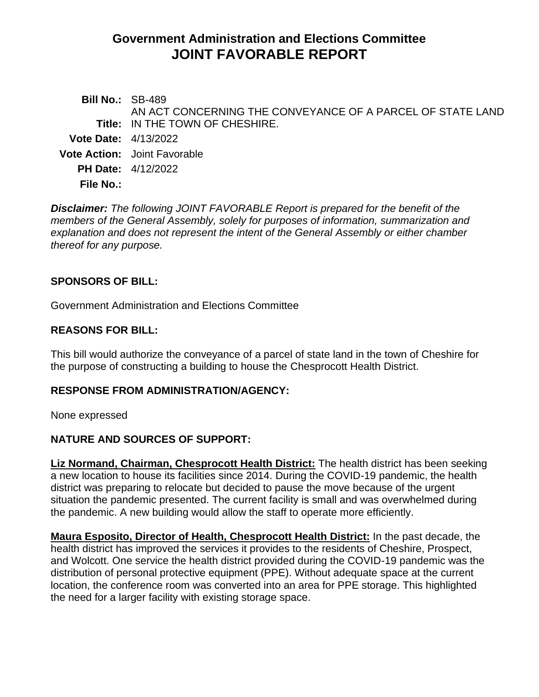# **Government Administration and Elections Committee JOINT FAVORABLE REPORT**

**Bill No.:** SB-489 **Title:** IN THE TOWN OF CHESHIRE. AN ACT CONCERNING THE CONVEYANCE OF A PARCEL OF STATE LAND **Vote Date:** 4/13/2022 **Vote Action:** Joint Favorable **PH Date:** 4/12/2022 **File No.:**

*Disclaimer: The following JOINT FAVORABLE Report is prepared for the benefit of the members of the General Assembly, solely for purposes of information, summarization and explanation and does not represent the intent of the General Assembly or either chamber thereof for any purpose.*

### **SPONSORS OF BILL:**

Government Administration and Elections Committee

#### **REASONS FOR BILL:**

This bill would authorize the conveyance of a parcel of state land in the town of Cheshire for the purpose of constructing a building to house the Chesprocott Health District.

#### **RESPONSE FROM ADMINISTRATION/AGENCY:**

None expressed

# **NATURE AND SOURCES OF SUPPORT:**

**Liz Normand, Chairman, Chesprocott Health District:** The health district has been seeking a new location to house its facilities since 2014. During the COVID-19 pandemic, the health district was preparing to relocate but decided to pause the move because of the urgent situation the pandemic presented. The current facility is small and was overwhelmed during the pandemic. A new building would allow the staff to operate more efficiently.

**Maura Esposito, Director of Health, Chesprocott Health District:** In the past decade, the health district has improved the services it provides to the residents of Cheshire, Prospect, and Wolcott. One service the health district provided during the COVID-19 pandemic was the distribution of personal protective equipment (PPE). Without adequate space at the current location, the conference room was converted into an area for PPE storage. This highlighted the need for a larger facility with existing storage space.